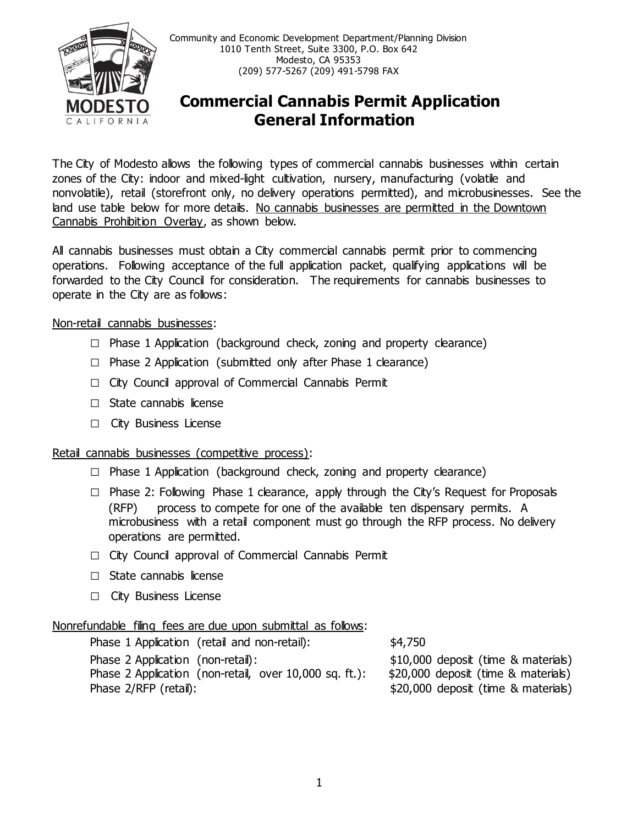

Community and Economic Development Department/Planning Division 1010 Tenth Street, Suite 3300, P.O. Box 642 Modesto, CA 95353 (209) 577-5267 (209) 491-5798 FAX

# **Commercial Cannabis Permit Application General Information**

The City of Modesto allows the following types of commercial cannabis businesses within certain zones of the City: indoor and mixed-light cultivation, nursery, manufacturing (volatile and nonvolatile), retail (storefront only, no delivery operations permitted), and microbusinesses. See the land use table below for more details. No cannabis businesses are permitted in the Downtown Cannabis Prohibition Overlay, as shown below.

All cannabis businesses must obtain a City commercial cannabis permit prior to commencing operations. Following acceptance of the full application packet, qualifying applications will be forwarded to the City Council for consideration. The requirements for cannabis businesses to operate in the City are as follows:

### Non-retail cannabis businesses:

- **□** Phase 1 Application (background check, zoning and property clearance)
- **□** Phase 2 Application (submitted only after Phase 1 clearance)
- **□** City Council approval of Commercial Cannabis Permit
- □ State cannabis license
- **□** City Business License

#### Retail cannabis businesses (competitive process):

- **□** Phase 1 Application (background check, zoning and property clearance)
- □ Phase 2: Following Phase 1 clearance, apply through the City's Request for Proposals (RFP) process to compete for one of the available ten dispensary permits. A microbusiness with a retail component must go through the RFP process. No delivery operations are permitted.
- **□** City Council approval of Commercial Cannabis Permit
- **□** State cannabis license
- **□** City Business License

#### Nonrefundable filing fees are due upon submittal as follows:

| Phase 1 Application (retail and non-retail):           | \$4,750                             |
|--------------------------------------------------------|-------------------------------------|
| Phase 2 Application (non-retail):                      | \$10,000 deposit (time & materials) |
| Phase 2 Application (non-retail, over 10,000 sq. ft.): | \$20,000 deposit (time & materials) |
| Phase 2/RFP (retail):                                  | \$20,000 deposit (time & materials) |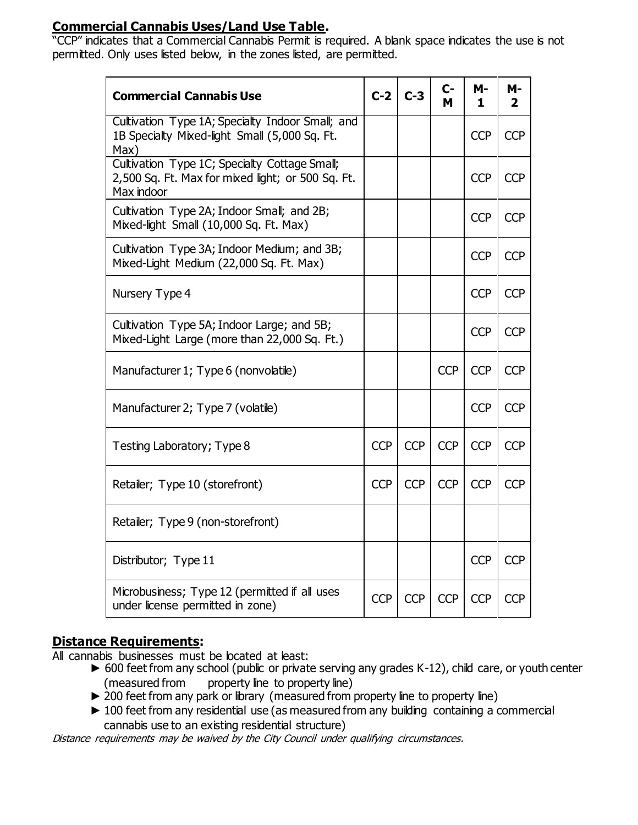## **Commercial Cannabis Uses/Land Use Table.**

"CCP" indicates that a Commercial Cannabis Permit is required. A blank space indicates the use is not permitted. Only uses listed below, in the zones listed, are permitted.

| <b>Commercial Cannabis Use</b>                                                                                   |            | $C-2$ $C-3$ | $C-$<br>M  | <b>M-</b><br>1 | М-<br>2    |
|------------------------------------------------------------------------------------------------------------------|------------|-------------|------------|----------------|------------|
| Cultivation Type 1A; Specialty Indoor Small; and<br>1B Specialty Mixed-light Small (5,000 Sq. Ft.<br>Max)        |            |             |            | <b>CCP</b>     | <b>CCP</b> |
| Cultivation Type 1C; Specialty Cottage Small;<br>2,500 Sq. Ft. Max for mixed light; or 500 Sq. Ft.<br>Max indoor |            |             |            | <b>CCP</b>     | <b>CCP</b> |
| Cultivation Type 2A; Indoor Small; and 2B;<br>Mixed-light Small (10,000 Sq. Ft. Max)                             |            |             |            | <b>CCP</b>     | <b>CCP</b> |
| Cultivation Type 3A; Indoor Medium; and 3B;<br>Mixed-Light Medium (22,000 Sq. Ft. Max)                           |            |             |            | <b>CCP</b>     | <b>CCP</b> |
| Nursery Type 4                                                                                                   |            |             |            | <b>CCP</b>     | <b>CCP</b> |
| Cultivation Type 5A; Indoor Large; and 5B;<br>Mixed-Light Large (more than 22,000 Sq. Ft.)                       |            |             |            | <b>CCP</b>     | <b>CCP</b> |
| Manufacturer 1; Type 6 (nonvolatile)                                                                             |            |             | <b>CCP</b> | <b>CCP</b>     | <b>CCP</b> |
| Manufacturer 2; Type 7 (volatile)                                                                                |            |             |            | <b>CCP</b>     | <b>CCP</b> |
| Testing Laboratory; Type 8                                                                                       | <b>CCP</b> | <b>CCP</b>  | <b>CCP</b> | <b>CCP</b>     | <b>CCP</b> |
| Retailer; Type 10 (storefront)                                                                                   | <b>CCP</b> | <b>CCP</b>  | <b>CCP</b> | <b>CCP</b>     | <b>CCP</b> |
| Retailer; Type 9 (non-storefront)                                                                                |            |             |            |                |            |
| Distributor; Type 11                                                                                             |            |             |            | <b>CCP</b>     | <b>CCP</b> |
| Microbusiness; Type 12 (permitted if all uses<br>under license permitted in zone)                                | <b>CCP</b> | <b>CCP</b>  | <b>CCP</b> | <b>CCP</b>     | <b>CCP</b> |

## **Distance Requirements:**

All cannabis businesses must be located at least:

- ► 600 feet from any school (public or private serving any grades K-12), child care, or youth center (measured from property line to property line)
- ► 200 feet from any park or library (measured from property line to property line)
- ► 100 feet from any residential use (as measured from any building containing a commercial cannabis use to an existing residential structure)

Distance requirements may be waived by the City Council under qualifying circumstances.